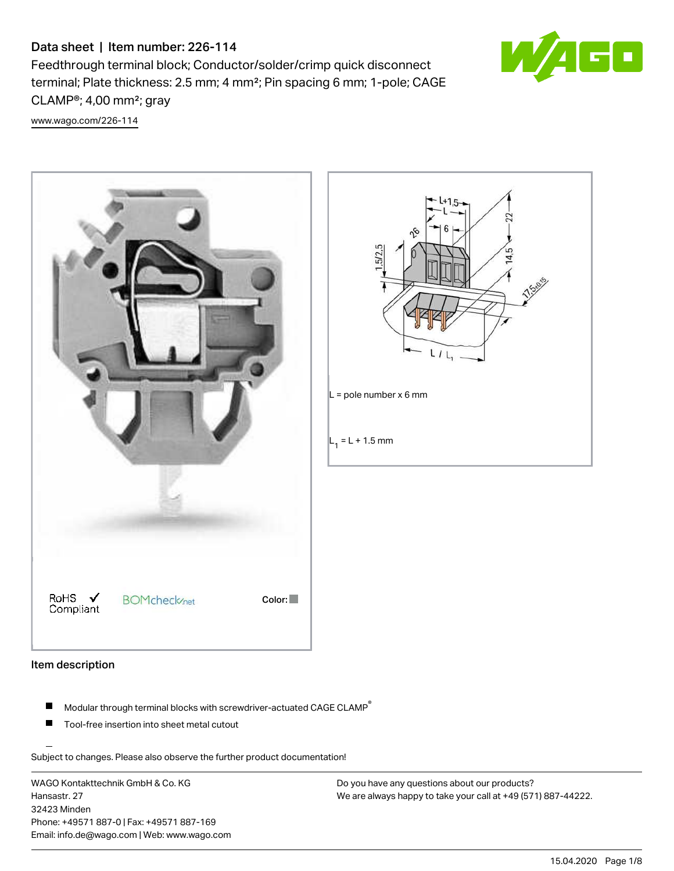# Data sheet | Item number: 226-114

Feedthrough terminal block; Conductor/solder/crimp quick disconnect terminal; Plate thickness: 2.5 mm; 4 mm²; Pin spacing 6 mm; 1-pole; CAGE CLAMP®; 4,00 mm²; gray



[www.wago.com/226-114](http://www.wago.com/226-114)





## Item description

- $\blacksquare$ Modular through terminal blocks with screwdriver-actuated CAGE CLAMP<sup>®</sup>
- Tool-free insertion into sheet metal cutout

Subject to changes. Please also observe the further product documentation!

WAGO Kontakttechnik GmbH & Co. KG Hansastr. 27 32423 Minden Phone: +49571 887-0 | Fax: +49571 887-169 Email: info.de@wago.com | Web: www.wago.com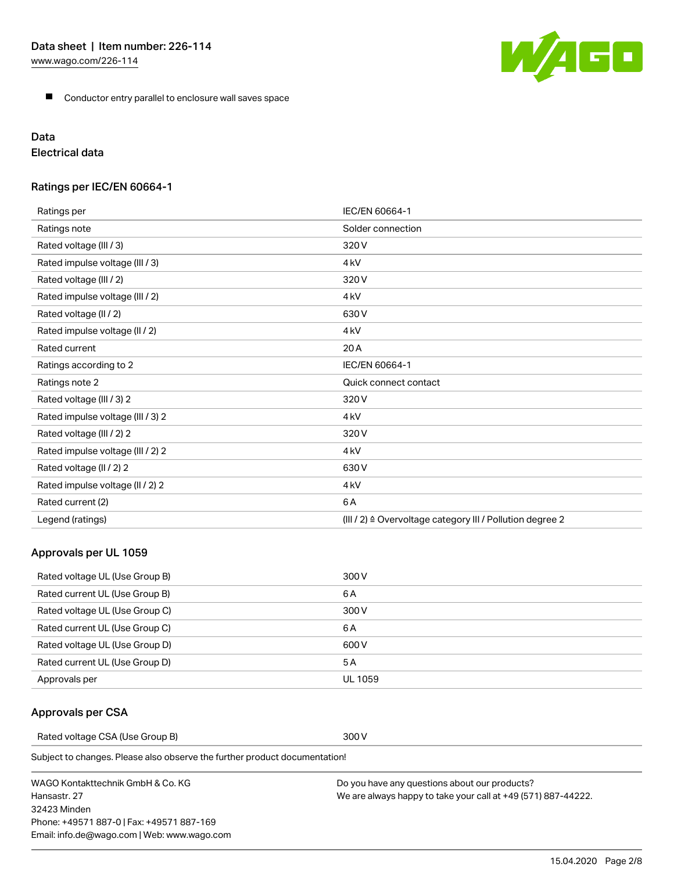**Conductor entry parallel to enclosure wall saves space** 

# Data

Electrical data

# Ratings per IEC/EN 60664-1

| Ratings per                       | IEC/EN 60664-1                                            |
|-----------------------------------|-----------------------------------------------------------|
| Ratings note                      | Solder connection                                         |
| Rated voltage (III / 3)           | 320V                                                      |
| Rated impulse voltage (III / 3)   | 4 <sub>kV</sub>                                           |
| Rated voltage (III / 2)           | 320V                                                      |
| Rated impulse voltage (III / 2)   | 4 <sub>kV</sub>                                           |
| Rated voltage (II / 2)            | 630V                                                      |
| Rated impulse voltage (II / 2)    | 4 <sub>kV</sub>                                           |
| Rated current                     | 20A                                                       |
| Ratings according to 2            | IEC/EN 60664-1                                            |
| Ratings note 2                    | Quick connect contact                                     |
| Rated voltage (III / 3) 2         | 320V                                                      |
| Rated impulse voltage (III / 3) 2 | 4 <sub>kV</sub>                                           |
| Rated voltage (III / 2) 2         | 320V                                                      |
| Rated impulse voltage (III / 2) 2 | 4 <sub>kV</sub>                                           |
| Rated voltage (II / 2) 2          | 630V                                                      |
| Rated impulse voltage (II / 2) 2  | 4 <sub>kV</sub>                                           |
| Rated current (2)                 | 6A                                                        |
| Legend (ratings)                  | (III / 2) ≙ Overvoltage category III / Pollution degree 2 |

# Approvals per UL 1059

| Rated voltage UL (Use Group B) | 300 V   |
|--------------------------------|---------|
| Rated current UL (Use Group B) | 6 A     |
| Rated voltage UL (Use Group C) | 300 V   |
| Rated current UL (Use Group C) | 6 A     |
| Rated voltage UL (Use Group D) | 600 V   |
| Rated current UL (Use Group D) | 5 A     |
| Approvals per                  | UL 1059 |

# Approvals per CSA

Rated voltage CSA (Use Group B) 300 V

Subject to changes. Please also observe the further product documentation!

WAGO Kontakttechnik GmbH & Co. KG Hansastr. 27 32423 Minden Phone: +49571 887-0 | Fax: +49571 887-169 Email: info.de@wago.com | Web: www.wago.com

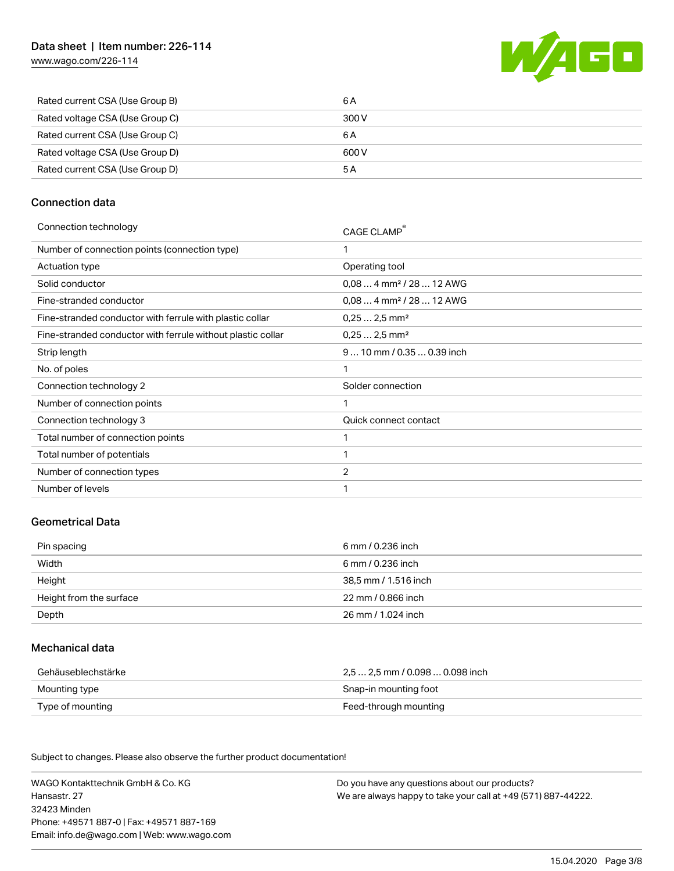[www.wago.com/226-114](http://www.wago.com/226-114)



| Rated current CSA (Use Group B)<br>6 A   |  |
|------------------------------------------|--|
| Rated voltage CSA (Use Group C)<br>300 V |  |
| Rated current CSA (Use Group C)<br>6 A   |  |
| Rated voltage CSA (Use Group D)<br>600 V |  |
| Rated current CSA (Use Group D)<br>5 A   |  |

# Connection data

| Connection technology |  |
|-----------------------|--|

| Connection technology                                       | CAGE CLAMP                           |
|-------------------------------------------------------------|--------------------------------------|
| Number of connection points (connection type)               | 1                                    |
| Actuation type                                              | Operating tool                       |
| Solid conductor                                             | $0.084$ mm <sup>2</sup> / 28  12 AWG |
| Fine-stranded conductor                                     | $0.084$ mm <sup>2</sup> / 28  12 AWG |
| Fine-stranded conductor with ferrule with plastic collar    | $0.252.5$ mm <sup>2</sup>            |
| Fine-stranded conductor with ferrule without plastic collar | $0,252,5$ mm <sup>2</sup>            |
| Strip length                                                | 9  10 mm / 0.35  0.39 inch           |
| No. of poles                                                | 1                                    |
| Connection technology 2                                     | Solder connection                    |
| Number of connection points                                 | 1                                    |
| Connection technology 3                                     | Quick connect contact                |
| Total number of connection points                           | 1                                    |
| Total number of potentials                                  | 1                                    |
| Number of connection types                                  | $\overline{2}$                       |
| Number of levels                                            | 1                                    |
|                                                             |                                      |

## Geometrical Data

| Pin spacing             | 6 mm / 0.236 inch    |
|-------------------------|----------------------|
| Width                   | 6 mm / 0.236 inch    |
| Height                  | 38,5 mm / 1.516 inch |
| Height from the surface | 22 mm / 0.866 inch   |
| Depth                   | 26 mm / 1.024 inch   |

# Mechanical data

| Gehäuseblechstärke | 2.5  2.5 mm / 0.098  0.098 inch |
|--------------------|---------------------------------|
| Mounting type      | Snap-in mounting foot           |
| Type of mounting   | Feed-through mounting           |

Subject to changes. Please also observe the further product documentation! Material Data

WAGO Kontakttechnik GmbH & Co. KG Hansastr. 27 32423 Minden Phone: +49571 887-0 | Fax: +49571 887-169 Email: info.de@wago.com | Web: www.wago.com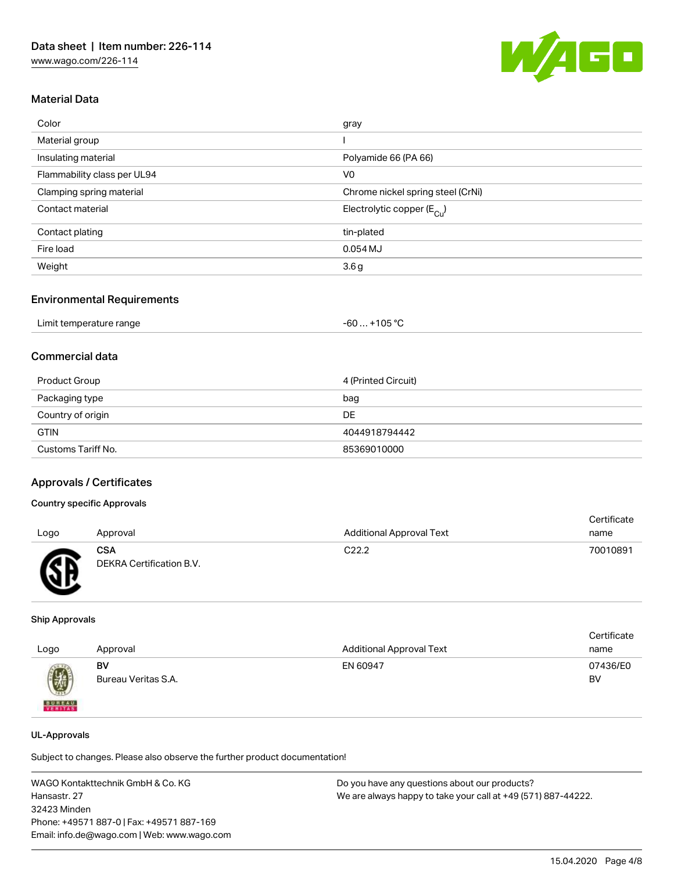

# Material Data

| Color                       | gray                                  |
|-----------------------------|---------------------------------------|
| Material group              |                                       |
| Insulating material         | Polyamide 66 (PA 66)                  |
| Flammability class per UL94 | V <sub>0</sub>                        |
| Clamping spring material    | Chrome nickel spring steel (CrNi)     |
| Contact material            | Electrolytic copper $(E_{\text{Cl}})$ |
| Contact plating             | tin-plated                            |
| Fire load                   | $0.054$ MJ                            |
| Weight                      | 3.6g                                  |
|                             |                                       |

#### Environmental Requirements

| Limit temperature range | $-60+105 °C$ |
|-------------------------|--------------|
|-------------------------|--------------|

# Commercial data

| Product Group      | 4 (Printed Circuit) |
|--------------------|---------------------|
| Packaging type     | bag                 |
| Country of origin  | DE                  |
| <b>GTIN</b>        | 4044918794442       |
| Customs Tariff No. | 85369010000         |

## Approvals / Certificates

# Country specific Approvals

|      |                                        |                                 | Certificate |
|------|----------------------------------------|---------------------------------|-------------|
| Logo | Approval                               | <b>Additional Approval Text</b> | name        |
| Æ    | <b>CSA</b><br>DEKRA Certification B.V. | C <sub>22.2</sub>               | 70010891    |

#### Ship Approvals

| Logo          | Approval                  | <b>Additional Approval Text</b> | Certificate<br>name |
|---------------|---------------------------|---------------------------------|---------------------|
| 0             | BV<br>Bureau Veritas S.A. | EN 60947                        | 07436/E0<br>BV      |
| <b>BUREAU</b> |                           |                                 |                     |

#### UL-Approvals

Subject to changes. Please also observe the further product documentation!

WAGO Kontakttechnik GmbH & Co. KG Hansastr. 27 32423 Minden Phone: +49571 887-0 | Fax: +49571 887-169 Email: info.de@wago.com | Web: www.wago.com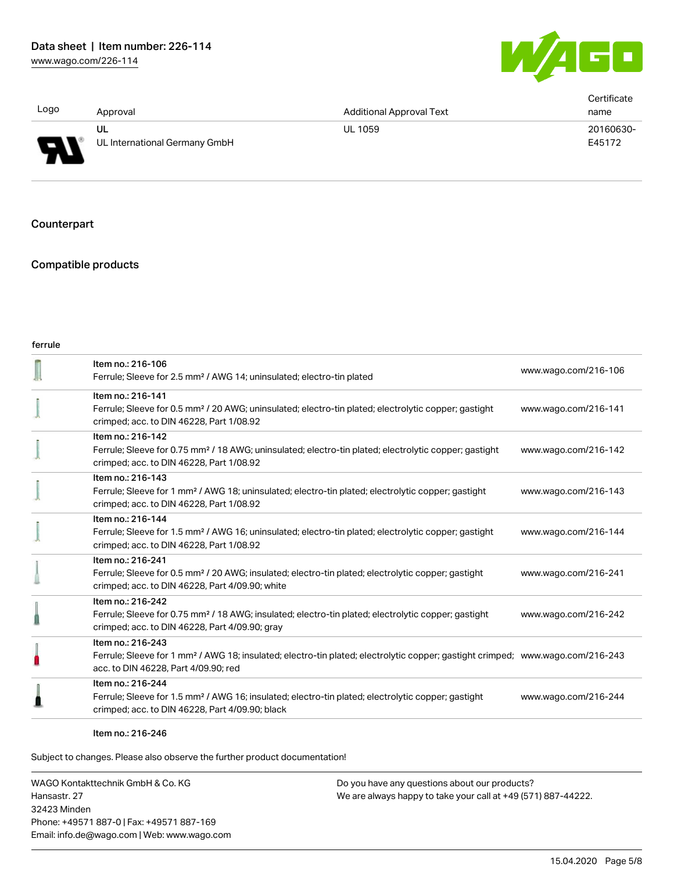

|                |                               |                                 | Certificate |
|----------------|-------------------------------|---------------------------------|-------------|
| Logo           | Approval                      | <b>Additional Approval Text</b> | name        |
|                | UL                            | <b>UL 1059</b>                  | 20160630-   |
| $\blacksquare$ | UL International Germany GmbH |                                 | E45172      |

# **Counterpart**

#### Compatible products

| Item no.: 216-106<br>Ferrule; Sleeve for 2.5 mm <sup>2</sup> / AWG 14; uninsulated; electro-tin plated                                                                                                  | www.wago.com/216-106 |
|---------------------------------------------------------------------------------------------------------------------------------------------------------------------------------------------------------|----------------------|
| Item no.: 216-141<br>Ferrule; Sleeve for 0.5 mm <sup>2</sup> / 20 AWG; uninsulated; electro-tin plated; electrolytic copper; gastight<br>crimped; acc. to DIN 46228, Part 1/08.92                       | www.wago.com/216-141 |
| Item no.: 216-142<br>Ferrule; Sleeve for 0.75 mm <sup>2</sup> / 18 AWG; uninsulated; electro-tin plated; electrolytic copper; gastight<br>crimped; acc. to DIN 46228, Part 1/08.92                      | www.wago.com/216-142 |
| Item no.: 216-143<br>Ferrule; Sleeve for 1 mm <sup>2</sup> / AWG 18; uninsulated; electro-tin plated; electrolytic copper; gastight<br>crimped; acc. to DIN 46228, Part 1/08.92                         | www.wago.com/216-143 |
| Item no.: 216-144<br>Ferrule; Sleeve for 1.5 mm <sup>2</sup> / AWG 16; uninsulated; electro-tin plated; electrolytic copper; gastight<br>crimped; acc. to DIN 46228, Part 1/08.92                       | www.wago.com/216-144 |
| Item no.: 216-241<br>Ferrule; Sleeve for 0.5 mm <sup>2</sup> / 20 AWG; insulated; electro-tin plated; electrolytic copper; gastight<br>crimped; acc. to DIN 46228, Part 4/09.90; white                  | www.wago.com/216-241 |
| Item no.: 216-242<br>Ferrule; Sleeve for 0.75 mm <sup>2</sup> / 18 AWG; insulated; electro-tin plated; electrolytic copper; gastight<br>crimped; acc. to DIN 46228, Part 4/09.90; gray                  | www.wago.com/216-242 |
| Item no.: 216-243<br>Ferrule; Sleeve for 1 mm <sup>2</sup> / AWG 18; insulated; electro-tin plated; electrolytic copper; gastight crimped; www.wago.com/216-243<br>acc. to DIN 46228, Part 4/09.90; red |                      |
| Item no.: 216-244<br>Ferrule; Sleeve for 1.5 mm <sup>2</sup> / AWG 16; insulated; electro-tin plated; electrolytic copper; gastight<br>crimped; acc. to DIN 46228, Part 4/09.90; black                  | www.wago.com/216-244 |
|                                                                                                                                                                                                         |                      |

#### Item no.: 216-246

Subject to changes. Please also observe the further product documentation!

WAGO Kontakttechnik GmbH & Co. KG Hansastr. 27 32423 Minden Phone: +49571 887-0 | Fax: +49571 887-169 Email: info.de@wago.com | Web: www.wago.com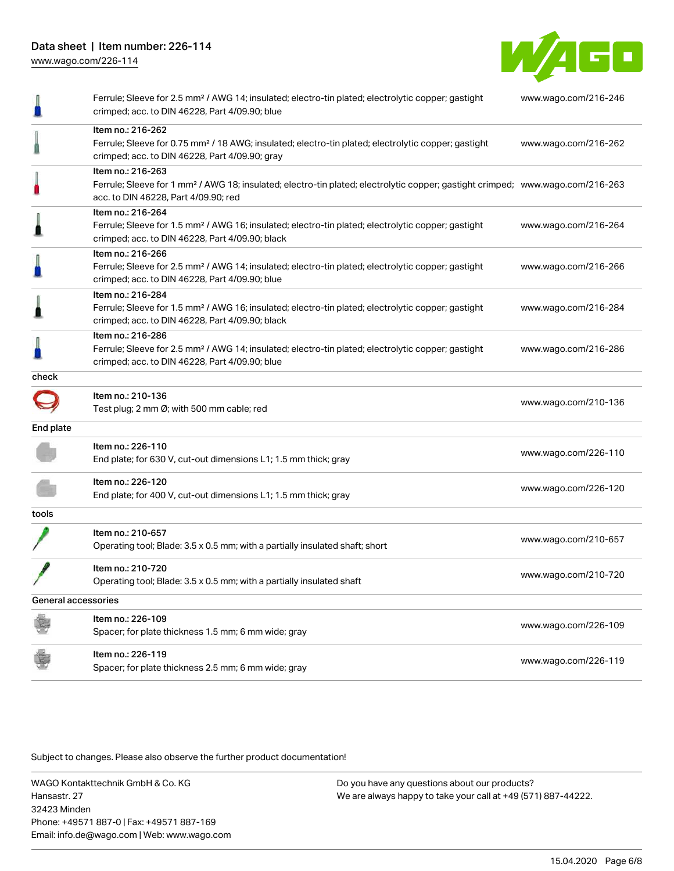Data sheet | Item number: 226-114

[www.wago.com/226-114](http://www.wago.com/226-114)



|                     | Ferrule; Sleeve for 2.5 mm <sup>2</sup> / AWG 14; insulated; electro-tin plated; electrolytic copper; gastight<br>crimped; acc. to DIN 46228, Part 4/09.90; blue                                        | www.wago.com/216-246 |
|---------------------|---------------------------------------------------------------------------------------------------------------------------------------------------------------------------------------------------------|----------------------|
|                     | Item no.: 216-262<br>Ferrule; Sleeve for 0.75 mm <sup>2</sup> / 18 AWG; insulated; electro-tin plated; electrolytic copper; gastight<br>crimped; acc. to DIN 46228, Part 4/09.90; gray                  | www.wago.com/216-262 |
|                     | Item no.: 216-263<br>Ferrule; Sleeve for 1 mm <sup>2</sup> / AWG 18; insulated; electro-tin plated; electrolytic copper; gastight crimped; www.wago.com/216-263<br>acc. to DIN 46228, Part 4/09.90; red |                      |
| ≞                   | Item no.: 216-264<br>Ferrule; Sleeve for 1.5 mm <sup>2</sup> / AWG 16; insulated; electro-tin plated; electrolytic copper; gastight<br>crimped; acc. to DIN 46228, Part 4/09.90; black                  | www.wago.com/216-264 |
|                     | Item no.: 216-266<br>Ferrule; Sleeve for 2.5 mm <sup>2</sup> / AWG 14; insulated; electro-tin plated; electrolytic copper; gastight<br>crimped; acc. to DIN 46228, Part 4/09.90; blue                   | www.wago.com/216-266 |
| ı                   | Item no.: 216-284<br>Ferrule; Sleeve for 1.5 mm <sup>2</sup> / AWG 16; insulated; electro-tin plated; electrolytic copper; gastight<br>crimped; acc. to DIN 46228, Part 4/09.90; black                  | www.wago.com/216-284 |
|                     | Item no.: 216-286<br>Ferrule; Sleeve for 2.5 mm <sup>2</sup> / AWG 14; insulated; electro-tin plated; electrolytic copper; gastight<br>crimped; acc. to DIN 46228, Part 4/09.90; blue                   | www.wago.com/216-286 |
| check               |                                                                                                                                                                                                         |                      |
|                     | Item no.: 210-136<br>Test plug; 2 mm Ø; with 500 mm cable; red                                                                                                                                          | www.wago.com/210-136 |
| End plate           |                                                                                                                                                                                                         |                      |
|                     | Item no.: 226-110<br>End plate; for 630 V, cut-out dimensions L1; 1.5 mm thick; gray                                                                                                                    | www.wago.com/226-110 |
|                     | Item no.: 226-120<br>End plate; for 400 V, cut-out dimensions L1; 1.5 mm thick; gray                                                                                                                    | www.wago.com/226-120 |
| tools               |                                                                                                                                                                                                         |                      |
|                     | Item no.: 210-657<br>Operating tool; Blade: 3.5 x 0.5 mm; with a partially insulated shaft; short                                                                                                       | www.wago.com/210-657 |
|                     | Item no.: 210-720<br>Operating tool; Blade: 3.5 x 0.5 mm; with a partially insulated shaft                                                                                                              | www.wago.com/210-720 |
| General accessories |                                                                                                                                                                                                         |                      |
|                     | Item no.: 226-109<br>Spacer; for plate thickness 1.5 mm; 6 mm wide; gray                                                                                                                                | www.wago.com/226-109 |
|                     | Item no.: 226-119<br>Spacer; for plate thickness 2.5 mm; 6 mm wide; gray                                                                                                                                | www.wago.com/226-119 |

Subject to changes. Please also observe the further product documentation!

WAGO Kontakttechnik GmbH & Co. KG Hansastr. 27 32423 Minden Phone: +49571 887-0 | Fax: +49571 887-169 Email: info.de@wago.com | Web: www.wago.com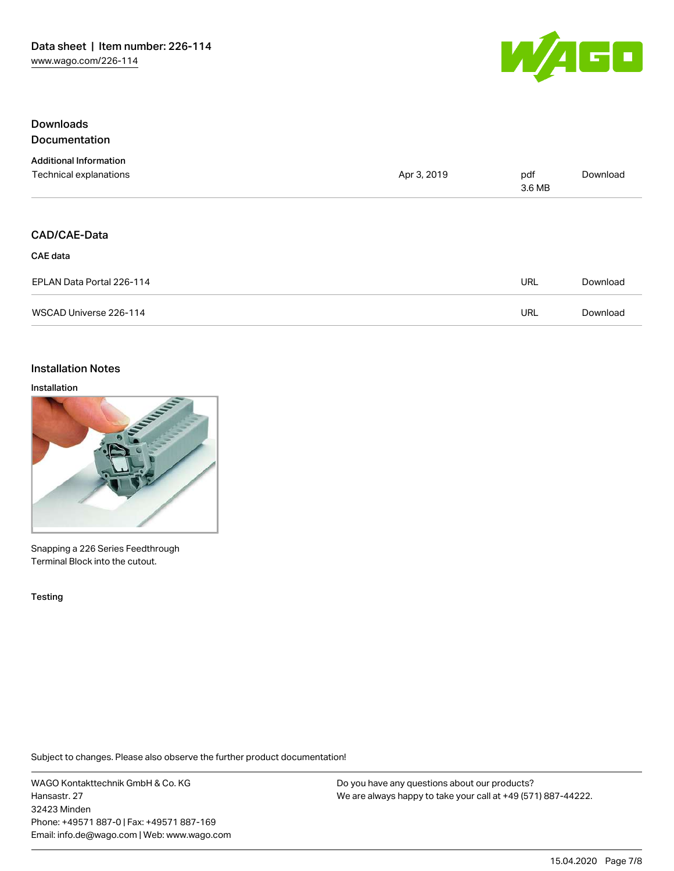

# Downloads Documentation

| <b>Additional Information</b><br>Technical explanations | Apr 3, 2019 | pdf<br>3.6 MB | Download |
|---------------------------------------------------------|-------------|---------------|----------|
| CAD/CAE-Data<br><b>CAE data</b>                         |             |               |          |
| EPLAN Data Portal 226-114                               |             | <b>URL</b>    | Download |
| WSCAD Universe 226-114                                  |             | <b>URL</b>    | Download |

# Installation Notes

# Installation



Snapping a 226 Series Feedthrough Terminal Block into the cutout.

Testing

Subject to changes. Please also observe the further product documentation!

WAGO Kontakttechnik GmbH & Co. KG Hansastr. 27 32423 Minden Phone: +49571 887-0 | Fax: +49571 887-169 Email: info.de@wago.com | Web: www.wago.com